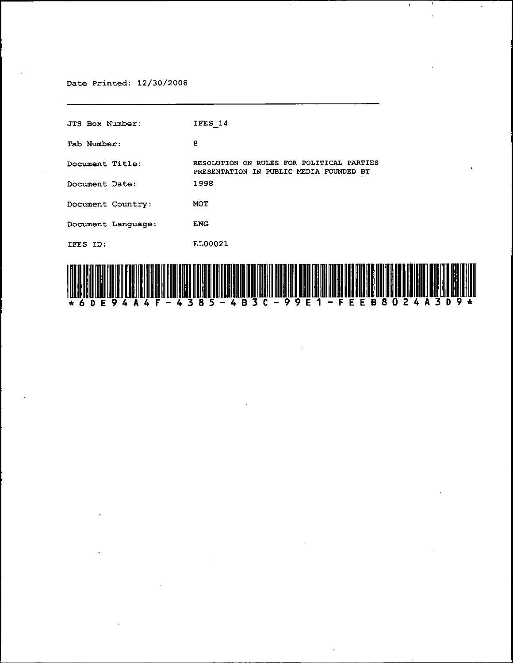Date Printed: 12/30/2008

JTS Box Number: Tab Number: **Document Title: Document Date: Document Country: Document Language:**  lFES 10: lFES 14 8 **RESOLUTION ON RULES FOR POLITICAL PARTIES**  PRESENTATION IN PUBLIC MEDIA FOUNDED BY 1998 MOT ENG EL00021



 $\mathfrak{t}$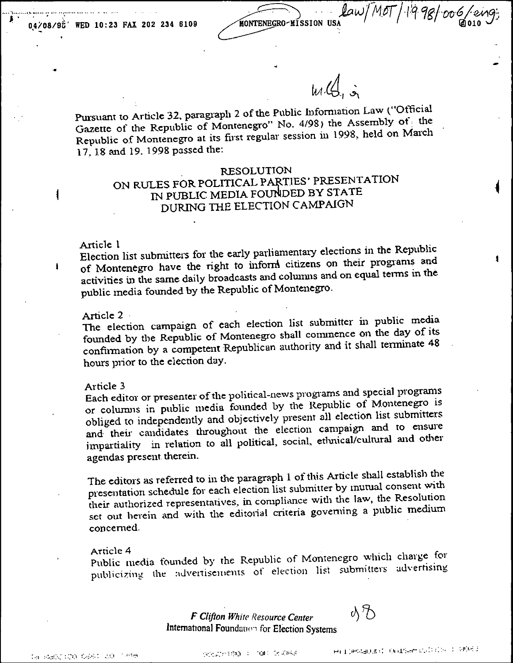$law/M$ oT/1998/006/eng; KONTENE **MÍSSION HSA** 

 $w\mathcal{L}$ , i

Pursuant to Article 32, paragraph 2 of the Public Information Law ("Official Gazette of the Republic of Montenegro" No. 4/98) the Assembly of the Republic of Montenegro at its first regular session in 1998, held on March 17, 18 and 19, 1998 passed the:

## **RESOLUTION**

# ON RULES FOR POLITICAL PARTIES' PRESENTATION IN PUBLIC MEDIA FOUNDED BY STATE DURING THE ELECTION CAMPAIGN

#### Article 1

1

 $\mathbf{I}$ 

Election list subnutters for the early parliamentary elections in the Republic of Montenegro have the right to inform citizens on their programs and activities in the same daily broadcasts and columns and on equal terms in the public media founded by the Republic of Montenegro.

#### Article 2

The election campaign of each election list submitter in public media founded by the Republic of Montenegro shall commence on the day of its confirmation by a competent Republican authority and it shall terminate 48 hours prior to the election day.

#### Article 3

Each editor or presenter of the political-news programs and special programs or columns in public media founded by the Republic of Montenegro is obliged to independently and objectively present all election list submitters and their candidates throughout the election campaign and to ensure impartiality in relation to all political, social, ethnical/cultural and other agendas present therein.

The editors as referred to in the paragraph 1 of this Article shall establish the presentation schedule for each election list submitter by inutual consent with their authorized representatives, in compliance with the law, the Resolution set out herein and with the editorial criteria governing a public medium concerned.

#### Article 4

Public media founded by the Republic of Montenegro which charge for publicizing the advertisements of election list submitters advertising

> **F Clifton White Resource Center** International Foundation for Election Systems

NB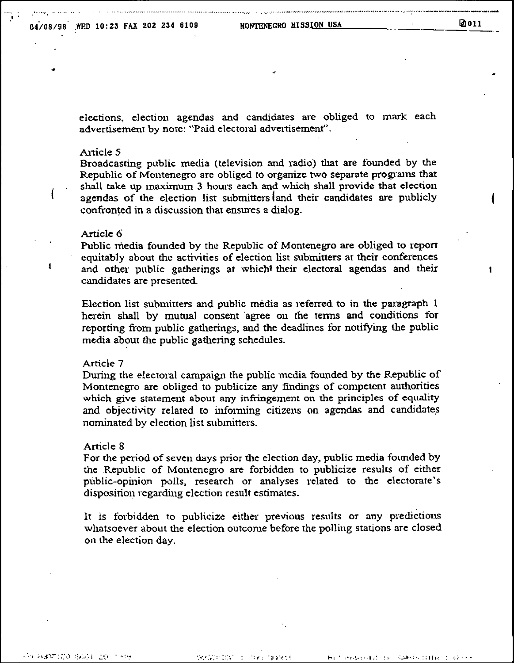elections, election agendas and candidates are obliged to mark each advertisement by note: "Paid electoral advertisement".

## Article 5

Broadcasting public media (television and radio) that are founded by the Republic of Montenegro are obliged to organize two separate programs that shall take up maximum 3 hours each and which shall provide that election agendas of the election list submitters and their candidates are publicly confronted in a discussion that ensures a dialog.

## Article 6

Public media founded by the Republic of Montenegro are obliged to report equitably about the activities of election list submitters at their conferences and other public gatherings at which<sup>t</sup> their electoral agendas and their candidates are presented.

Election list submitters and public media as referred to in the paragraph 1 herein shall by mutual consent agree on the terms and conditions for reporting from public gatherings, and the deadlines for notifying the public media about the public gathering schedules.

## Article 7

During the electoral campaign the public media founded by the Republic of Montenegro are obliged to publicize any findings of competent authorities which give statement about any infringement on the principles of equality and objectivity related to informing citizens on agendas and candidates nominated by election list submitters.

## Article 8

For the period of seven days prior the election day, public media founded by the Republic of Montenegro are forbidden to publicize results of either public-opinion polls, research or analyses related to the electorate's disposition regarding election result estimates.

It is forbidden to publicize either previous results or any predictions whatsoever about the election outcome before the polling stations are closed on the election day.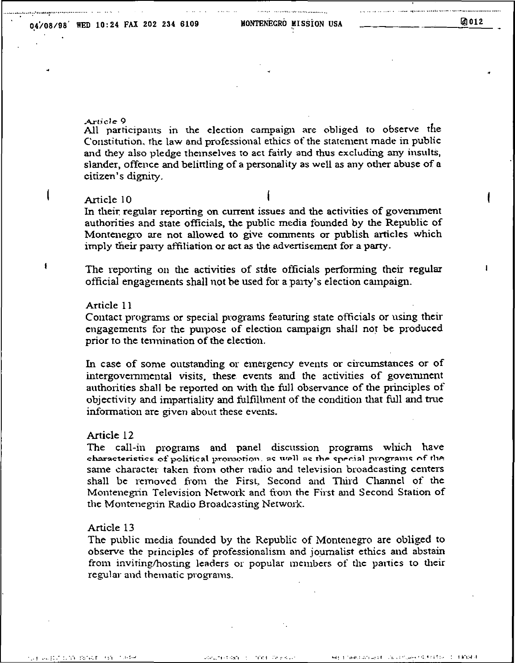## 04/08/98 WED 10:24 FAX 202 234 6109

MONTENEGRO MISSION USA

## 团012

## Article 9

All participants in the election campaign are obliged to observe the Constitution, the law and professional ethics of the statement made in public and they also pledge themselves to act fairly and thus excluding any insults, slander, offence and belittling of a personality as well as any other abuse of a citizen's dignity.

## Article 10

In their regular reporting on current issues and the activities of government authorities and state officials, the public media founded by the Republic of Montenegro are not allowed to give comments or publish articles which imply their party affiliation or act as the advertisement for a party.

The reporting on the activities of state officials performing their regular official engagements shall not be used for a party's election campaign.

## Article 11

ł

Contact programs or special programs featuring state officials or using their engagements for the purpose of election campaign shall not be produced prior to the termination of the election.

In case of some outstanding or emergency events or circumstances or of intergovernmental visits, these events and the activities of government authorities shall be reported on with the full observance of the principles of objectivity and impartiality and fulfillment of the condition that full and true information are given about these events.

## Article 12

The call-in programs and panel discussion programs which have characteristics of political promotion, as well as the special programs of the same character taken from other radio and television broadcasting centers shall be removed from the First, Second and Third Channel of the Montenegrin Television Network and from the First and Second Station of the Montenegrin Radio Broadcasting Network.

## Article 13

The public media founded by the Republic of Montenegro are obliged to observe the principles of professionalism and journalist ethics and abstain from inviting/hosting leaders or popular members of the parties to their regular and thematic programs.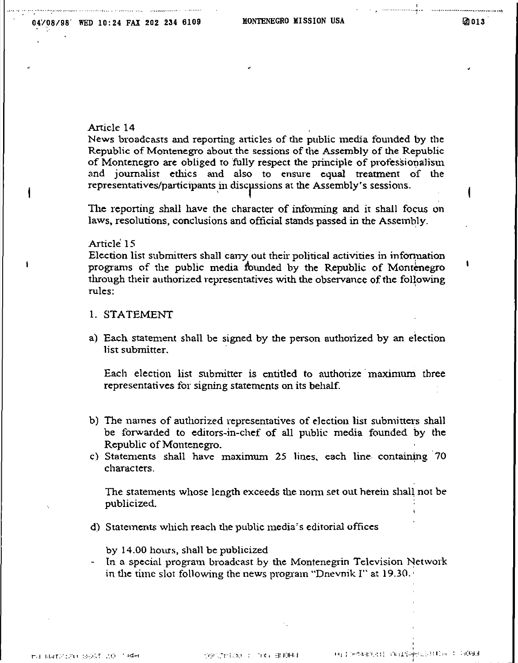## **2**013

 $\mathbf{I}$ 

## Article 14

News broadcasts and reporting articles of the public media founded by the Republic of Montenegro about the sessions of the Assembly of the Republic of Montenegro are obliged to fully respect the principle of professionalism and journalist ethics and also to ensure equal treatment of the representatives/participants in discussions at the Assembly's sessions.

The reporting shall have the character of informing and it shall focus on laws, resolutions, conclusions and ofticial stands passed in the Assembly\_

## Article 15

 $\mathbf{f}$ 

Election list submitters shall canry out their political activities in information programs of the public media founded by the Republic of Montenegro through their authorized representatives with the observance of the following rules:

- L STATEMENT
- a) Each statement shall be signed by the person authorized by an election list submitter\_

Each election list submitter is entitled to authorize maximum three representatives tor signing statements on its behalf\_

- b) The names of authorized representatives of election list submitters shall be forwarded to editors-in-chef of all public media founded by the Republic of Montenegro\_
- c) Statements shall have maximum 25 lines, each line containing 70 characters.

The statements whose length exceeds the nonn set out herein shall not be publicized\_

d) Statements which reach dle public media's editorial offices

by 14\_00 hours, shall be publicized

- In a special program broadcast by the Montenegrin Television Network in the time slot following the news program "Dnevnik I" at 19.30.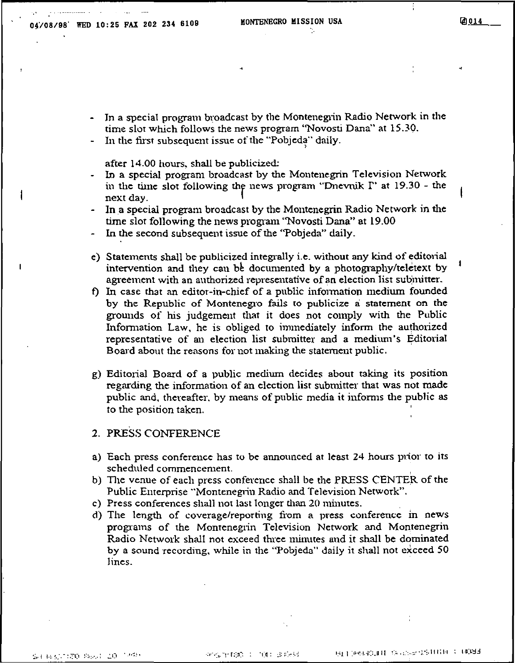التقدار والمماري والمستشفقين والأراد

Ii!J --- 014

- In a special program broadcast by the Montenegrin Radio Network in the time slot which follows the news program "Novosti Dana" at 15.30.
- In the first subsequent issue of the "Pobjeda" daily.

after 14.00 hours, shall be publicized:

- In a special program broadcast by the Montenegrin Television Network in the time slot following the news program "Dnevnik  $\Gamma$ " at 19.30 - the next day.
- In a special program broadcast by the Montenegrin Radio Network in the time slot following the news program "Novosti Dana" at 19.00
- In the second subsequent issue of the "Pobjeda" daily.
- e) Statements shall be publicized integrally i.e. without any kind of editorial intervention and they can be documented by a photography/teletext by agreement with an authorized representative of an election list submitter.
- f) In case that an editor-in-chief of a public infonnation mediwn founded by the Republic of Montenegro fails to publicize a: statement on the grounds of his judgement that it does not comply with the Public Information Law, he is obliged to immediately inform the authorized representative of an election list submitter and a medium's Editorial Board about the reasons for not making the statement public.
- g) Editorial Board of a public medium decides about taking its position regarding the information of an election list submitter that was not made public and, thereafter, by means of public media it informs the public as to the position taken.

## 2. PRESS CONFERENCE

- a) Each press conference has to be announced at least 24 hours prior to its scheduled commencement. .
- b) The venue of each press conference shall be the PRESS CENTER of the Public Enterprise "Montenegrin Radio and Television Network".
- c) Press conferences shall not last longer than 20 minutes.
- d) The length of coverage/reporting from a press conference in news programs of the Montenegrin Television Network and Montenegrin Radio Network shall not exceed three minutes and it shall be dominated by a sound recording, while in the "Pobjeda" daily it shall not exceed 50 Jines.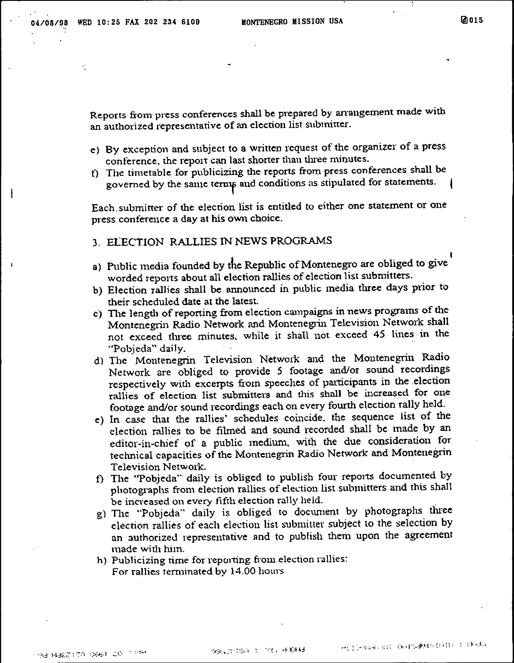ł

 $\mathbf{I}$ 

1aJ015

Reports from press conferences shall be prepared by anangement made with an authorized representative of an election list submitter.

- e) By exception and subject to a written request of the organizer of a press conference, the report can last shorter than three minutes.
- t) The timetable for publicizing the reports from press conferences shall be governed by the same terms and conditions as stipulated for statements.

Each. submitter of the election list is entitled to either one statement or one press conference a day at his own choice.

## 3. ELECTION RALLIES IN NEWS PROGRAMS

- a) Public media founded by the Republic of Montenegro are obliged to give worded reports about all election rallies of election list submitters.
- b) Election rallies shall be announced in public media three days prior to their scheduled date at the latest.
- c) The length of reporting from election campaigns in news programs of the Montenegrin Radio Network and Montenegrin Television Network shall not exceed tluee minutes, while it shall 110t exceed 45 lines in the "Pobjeda" daily.
- d) The Montenegrin Television Network and the Montenegrin Radio Network are obliged to provide 5 footage and/or sound recordings respectively with excerpts from speeches of participants in the election rallies of election list submitters and this shall be increased for one footage and/or sound recordings each on every fourth election rally held.
- e) In case that the rallies' schedules coincide, the sequence list of the election rallies to be filmed and sound recorded shall be made by an editor-in-chief of a public medium, with the due consideration for technical capacities of the Montenegrin Radio Network and Montenegrin Television Network.
- f) The "Pobjeda" daily is obliged to publish four reports documented by photographs from election rallies of election list submitters and this shall be increased on every fifth election rally held.
- g) The "Pobjeda" daily is obliged to document by photographs three election rallies of each election list submitter subject to the selection by an authorized representative and to publish them upon the agreement made with him.
- h) Publicizing time for reporting from election rallies: For rallies terminated by 14.00 hours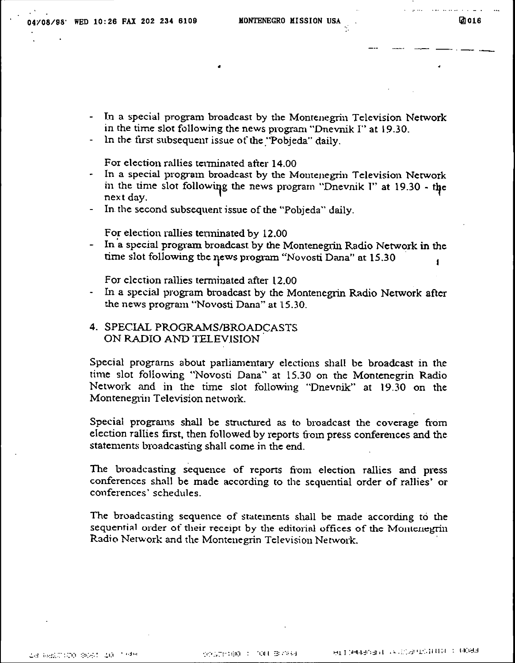- In a special program broadcast by the Montenegrin Television Network in the time slot following the news program "Dnevnik I" at 19.30.
- In the first subsequent issue of the "Pobjeda" daily.

For election rallies terminated after 14.00

- In a special program broadcast by the Montenegrin Television Network in the time slot following the news program "Dnevnik I" at 19.30 - the next day.
- In the second subsequent issue of the "Pobjeda" daily.

For election rallies terminated by 12,00

- In a special program broadcast by the Montenegrin Radio Network in the time slot following the news program "Novosti Dana" at 15.30  $\blacksquare$ 

For election rallies terminated after 12.00

- In a special program broadcast by the Montenegrin Radio Network after the news program "Novosti Dana" at 15.30.
- 4. SPECIAL PROGRAMS/BROADCASTS ON RADIO AND TELEVISION

Special programs about parliamentary elections shall be broadcast in the time slot following "Novosti Dana" at 15.30 on the Montenegrin Radio Network and in the time slot following "Dnevnik" at 19.30 on the Montenegrin Television network.

Special programs shall be structured as to broadcast the coverage from election rallies first, then followed by reports from press conferences and the statements broadcasting shall come in the end.

The broadcasting sequence of reports from election rallies and press conferences shall be made according to the sequential order of rallies' or conferences' schedules.

The broadcasting sequence of statements shall be made according to the sequential order of their receipt by the editorial offices of the Montenegrin Radio Network and the Montenegrin Television Network.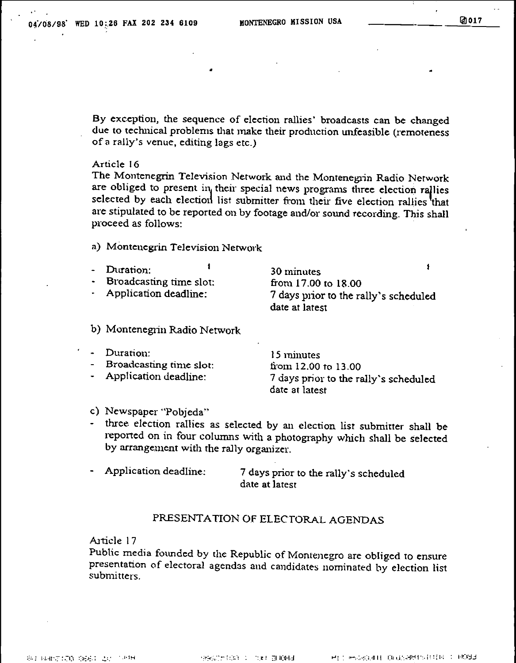By exception, the sequence of election rallies' broadcasts can be changed due to technical problems that makc their production unfeasible (remoteness ofa rally's venue, editing lags etc.)

#### Article 16

The Montenegrin Television Network and the Montenegrin Radio Network are obliged to present in their special news programs three election rallies selected by each election list submitter from their five election rallies that are stipulated to be reported on by footage and/or sound recording. This shall proceed as follows: .

## a) Montenegrin Television Network

•

| Duration:               | 30 minutes                                              |
|-------------------------|---------------------------------------------------------|
| Broadcasting time slot: | from $17.00$ to $18.00$                                 |
| Application deadline:   | 7 days prior to the rally's scheduled<br>date at latest |
|                         |                                                         |

## b) Montenegrin Radio Network

| - Duration:<br>- Broadcasting time slot:<br>- Application deadline: | 15 minutes<br>from $12.00$ to $13.00$<br>7 days prior to the rally's scheduled |
|---------------------------------------------------------------------|--------------------------------------------------------------------------------|
|                                                                     | date at latest                                                                 |

## c) Newspaper "Pobjeda"

- three election rallies as selected by an election list submitter shall be reported on in four columns with a photography which shall be selected by arrangement with the rally organizer.
- Application deadline: 7 days prior to the rally's scheduled date at latest

## PRESENTA TION OF ELECTORAL AGENDAS

## AlticIe 17

Public media founded by the Republic of Montenegro are obliged to ensure presentation of electoral agendas and candidates nominated by election list submitters.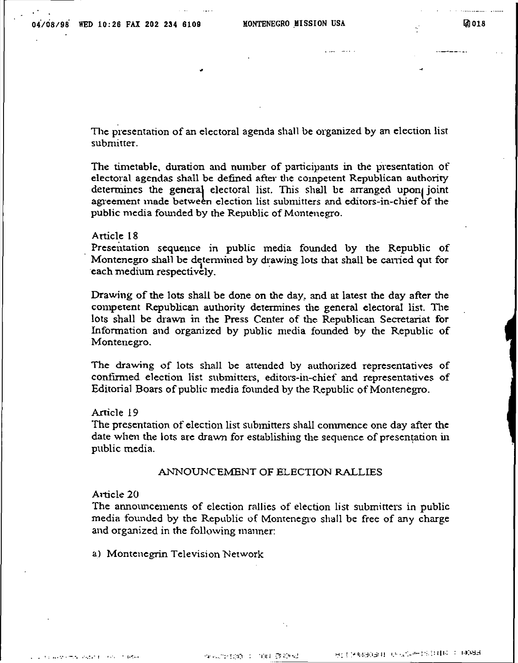The presentation of an electoral agenda shall be organized by an election list submitter,

•

The timetable, duration and number of participants in the presentation of electoral agendas shall be defined after the competent Republican authority determines the general electoral list. This shall be arranged uponl joint agreement made between election list submitters and editors-in-chief of the public media fotmded by the Republic of Montenegro.

## Article 18

Presentation sequence in public media founded by the Republic of Montenegro shall be determined by drawing lots that shall be carried qut for each medium respectively.

Drawing of the lots shall be done on the day, and at latest the day after the competent Republican authority detennines the general electoral list. The lots shall be drawn in the Press Center of the Republican Secretariat for Information and organized by public media founded by the Republic of Montenegro.

The drawing of lots shall be attended by authorized representatives of confirmed election list submitters, editors-in-chief and representatives of Editorial Boars of public media founded by the Republic of Montenegro.

## Article 19

The presentation of election list submitters shall commence one day after the: date when the lots are drawn for establishing the sequence of presentation in public media.

## ANNOUNCEMENT OF ELECTION RALLIES

## Article 20

The announcements of election rallies of election list submitters in public media founded by the Republic of Montenegro shall be free of any charge and organized in the following manner:

a) Montenegrin Television Network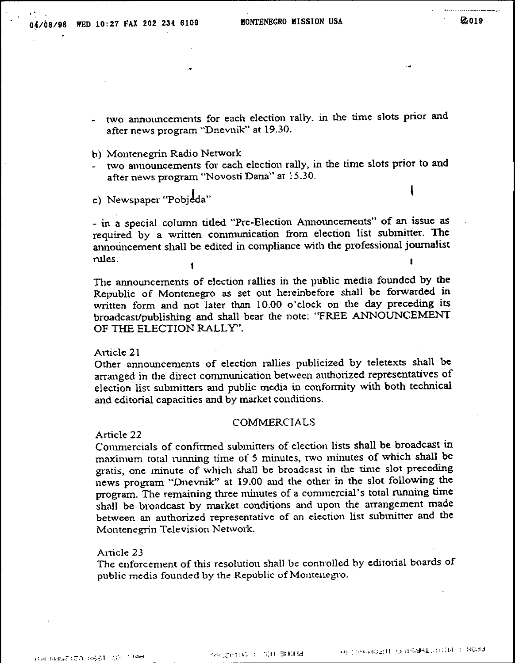- two announcements for each election rally. in the time slots prior and after news program "Dnevnik" at 19.30.
- b) Montenegrin Radio Network
- two announcements for each election rally, in the time slots prior to and after news program "Novosti Dana" at 15.30.
- c) Newspaper "Pobjeda"

- in a special column titled "Pre-Election Announcements" of an issue as required by a written communication from election list submitter. The announcement shall be edited in compliance with the professional journalist rules.

The announcements of election rallies in the public media founded by the Republic of Montenegro as set out hereinbefore shall be forwarded in written form and not later than 10.00 o'clock on the day preceding its broadcast/publishing and shall bear the note: "FREE ANNOUNCEMENT OF THE ELECTION RALLY".

Article 21

Other announcements of election rallies publicized by teletexts shall be arranged in the direct communication between authorized representatives of election list submitters and public media in conformity \vith both technical and editorial capacities and by market conditions.

## COMMERCIALS

Article 22

Commercials of confirmed submitters of election lists shall be broadcast in maximum total running time of 5 minutes, two minutes of which shall be gratis, one minute of which shaU be broadcast in the time slot preceding news program "Dnevnik" at 19.00 and the other in the slot following the program. The remaining three minutes of a commercial's total running time shall be broadcast by market conditions and upon the arrangement made between an authorized representative of an election list submitter and the Montenegrin Television Network.

## Article 23

The enforcement of this resolution shall be controlled by editorial boards of public media founded by the Republic of Montcnegro.